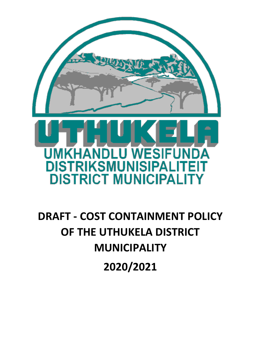

# **DRAFT - COST CONTAINMENT POLICY OF THE UTHUKELA DISTRICT MUNICIPALITY 2020/2021**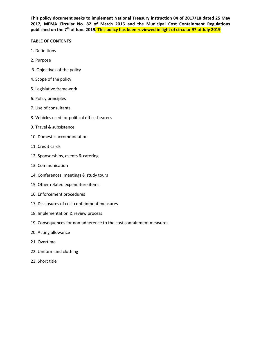**This policy document seeks to implement National Treasury instruction 04 of 2017/18 dated 25 May 2017, MFMA Circular No. 82 of March 2016 and the Municipal Cost Containment Regulations published on the 7th of June 2019. This policy has been reviewed in light of circular 97 of July 2019**

#### **TABLE OF CONTENTS**

- 1. Definitions
- 2. Purpose
- 3. Objectives of the policy
- 4. Scope of the policy
- 5. Legislative framework
- 6. Policy principles
- 7. Use of consultants
- 8. Vehicles used for political office-bearers
- 9. Travel & subsistence
- 10. Domestic accommodation
- 11. Credit cards
- 12. Sponsorships, events & catering
- 13. Communication
- 14. Conferences, meetings & study tours
- 15. Other related expenditure items
- 16. Enforcement procedures
- 17. Disclosures of cost containment measures
- 18. Implementation & review process
- 19. Consequences for non-adherence to the cost containment measures
- 20. Acting allowance
- 21. Overtime
- 22. Uniform and clothing
- 23. Short title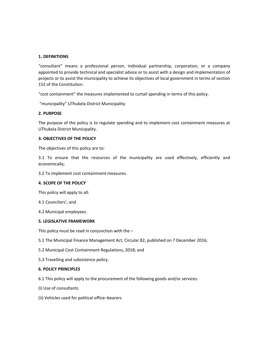# **1. DEFINITIONS**

"consultant" means a professional person, individual partnership, corporation, or a company appointed to provide technical and specialist advice or to assist with a design and implementation of projects or to assist the municipality to achieve its objectives of local government in terms of section 152 of the Constitution.

"cost containment" the measures implemented to curtail spending in terms of this policy.

"municipality" UThukela District Municipality

# **2. PURPOSE**

The purpose of the policy is to regulate spending and to implement cost containment measures at UThukela District Municipality.

# **3. OBJECTIVES OF THE POLICY**

The objectives of this policy are to:

3.1 To ensure that the resources of the municipality are used effectively, efficiently and economically;

3.2 To implement cost containment measures.

# **4. SCOPE OF THE POLICY**

This policy will apply to all:

4.1 Councilors'; and

4.2 Municipal employees.

#### **5. LEGISLATIVE FRAMEWORK**

This policy must be read in conjunction with the  $-$ 

5.1 The Municipal Finance Management Act, Circular 82, published on 7 December 2016;

- 5.2 Municipal Cost Containment Regulations, 2018; and
- 5.3 Travelling and subsistence policy.

# **6. POLICY PRINCIPLES**

- 6.1 This policy will apply to the procurement of the following goods and/or services:
- (i) Use of consultants
- (ii) Vehicles used for political office–bearers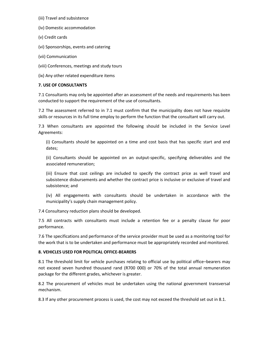- (iii) Travel and subsistence
- (iv) Domestic accommodation
- (v) Credit cards
- (vi) Sponsorships, events and catering
- (vii) Communication
- (viii) Conferences, meetings and study tours
- (ix) Any other related expenditure items

# **7. USE OF CONSULTANTS**

7.1 Consultants may only be appointed after an assessment of the needs and requirements has been conducted to support the requirement of the use of consultants.

7.2 The assessment referred to in 7.1 must confirm that the municipality does not have requisite skills or resources in its full time employ to perform the function that the consultant will carry out.

7.3 When consultants are appointed the following should be included in the Service Level Agreements:

(i) Consultants should be appointed on a time and cost basis that has specific start and end dates;

(ii) Consultants should be appointed on an output-specific, specifying deliverables and the associated remuneration;

(iii) Ensure that cost ceilings are included to specify the contract price as well travel and subsistence disbursements and whether the contract price is inclusive or exclusive of travel and subsistence; and

(iv) All engagements with consultants should be undertaken in accordance with the municipality's supply chain management policy.

7.4 Consultancy reduction plans should be developed.

7.5 All contracts with consultants must include a retention fee or a penalty clause for poor performance.

7.6 The specifications and performance of the service provider must be used as a monitoring tool for the work that is to be undertaken and performance must be appropriately recorded and monitored.

# **8. VEHICLES USED FOR POLITICAL OFFICE-BEARERS**

8.1 The threshold limit for vehicle purchases relating to official use by political office–bearers may not exceed seven hundred thousand rand (R700 000) or 70% of the total annual remuneration package for the different grades, whichever is greater.

8.2 The procurement of vehicles must be undertaken using the national government transversal mechanism.

8.3 If any other procurement process is used, the cost may not exceed the threshold set out in 8.1.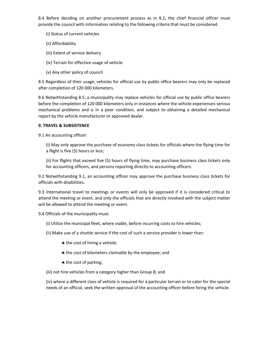8.4 Before deciding on another procurement process as in 8.2, the chief financial officer must provide the council with information relating to the following criteria that must be considered:

- (i) Status of current vehicles
- (ii) Affordability
- (iii) Extent of service delivery
- (iv) Terrain for effective usage of vehicle
- (v) Any other policy of council

8.5 Regardless of their usage, vehicles for official use by public office bearers may only be replaced after completion of 120 000 kilometers.

8.6 Notwithstanding 8.5, a municipality may replace vehicles for official use by public office bearers before the completion of 120 000 kilometers only in instances where the vehicle experiences serious mechanical problems and is in a poor condition, and subject to obtaining a detailed mechanical report by the vehicle manufacturer or approved dealer.

# **9. TRAVEL & SUBSISTENCE**

9.1 An accounting officer:

(i) May only approve the purchase of economy class tickets for officials where the flying time for a flight is five (5) hours or less;

(ii) For flights that exceed five (5) hours of flying time, may purchase business class tickets only for accounting officers, and persons reporting directly to accounting officers.

9.2 Notwithstanding 9.1, an accounting officer may approve the purchase business class tickets for officials with disabilities.

9.3 International travel to meetings or events will only be approved if it is considered critical to attend the meeting or event, and only the officials that are directly involved with the subject matter will be allowed to attend the meeting or event.

9.4 Officials of the municipality must:

- (i) Utilize the municipal fleet, where viable, before incurring costs to hire vehicles;
- (ii) Make use of a shuttle service if the cost of such a service provider is lower than:
	- \* the cost of hiring a vehicle;
	- $\triangle$  the cost of kilometers claimable by the employee; and
	- \* the cost of parking.

(iii) not hire vehicles from a category higher than Group B; and

(iv) where a different class of vehicle is required for a particular terrain or to cater for the special needs of an official, seek the written approval of the accounting officer before hiring the vehicle.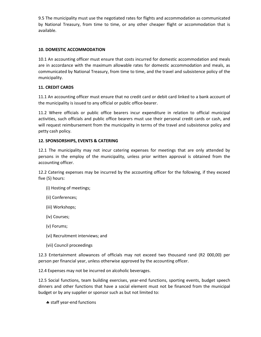9.5 The municipality must use the negotiated rates for flights and accommodation as communicated by National Treasury, from time to time, or any other cheaper flight or accommodation that is available.

# **10. DOMESTIC ACCOMMODATION**

10.1 An accounting officer must ensure that costs incurred for domestic accommodation and meals are in accordance with the maximum allowable rates for domestic accommodation and meals, as communicated by National Treasury, from time to time, and the travel and subsistence policy of the municipality.

# **11. CREDIT CARDS**

11.1 An accounting officer must ensure that no credit card or debit card linked to a bank account of the municipality is issued to any official or public office-bearer.

11.2 Where officials or public office bearers incur expenditure in relation to official municipal activities, such officials and public office bearers must use their personal credit cards or cash, and will request reimbursement from the municipality in terms of the travel and subsistence policy and petty cash policy.

# **12. SPONSORSHIPS, EVENTS & CATERING**

12.1 The municipality may not incur catering expenses for meetings that are only attended by persons in the employ of the municipality, unless prior written approval is obtained from the accounting officer.

12.2 Catering expenses may be incurred by the accounting officer for the following, if they exceed five (5) hours:

- (i) Hosting of meetings;
- (ii) Conferences;
- (iii) Workshops;
- (iv) Courses;
- (v) Forums;
- (vi) Recruitment interviews; and
- (vii) Council proceedings

12.3 Entertainment allowances of officials may not exceed two thousand rand (R2 000,00) per person per financial year, unless otherwise approved by the accounting officer.

12.4 Expenses may not be incurred on alcoholic beverages.

12.5 Social functions, team building exercises, year-end functions, sporting events, budget speech dinners and other functions that have a social element must not be financed from the municipal budget or by any supplier or sponsor such as but not limited to:

\* staff year-end functions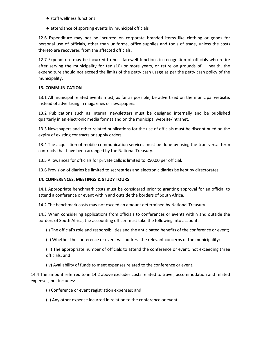- \* staff wellness functions
- attendance of sporting events by municipal officials

12.6 Expenditure may not be incurred on corporate branded items like clothing or goods for personal use of officials, other than uniforms, office supplies and tools of trade, unless the costs thereto are recovered from the affected officials.

12.7 Expenditure may be incurred to host farewell functions in recognition of officials who retire after serving the municipality for ten (10) or more years, or retire on grounds of ill health, the expenditure should not exceed the limits of the petty cash usage as per the petty cash policy of the municipality.

# **13. COMMUNICATION**

13.1 All municipal related events must, as far as possible, be advertised on the municipal website, instead of advertising in magazines or newspapers.

13.2 Publications such as internal newsletters must be designed internally and be published quarterly in an electronic media format and on the municipal website/intranet.

13.3 Newspapers and other related publications for the use of officials must be discontinued on the expiry of existing contracts or supply orders.

13.4 The acquisition of mobile communication services must be done by using the transversal term contracts that have been arranged by the National Treasury.

13.5 Allowances for officials for private calls is limited to R50,00 per official.

13.6 Provision of diaries be limited to secretaries and electronic diaries be kept by directorates.

# **14. CONFERENCES, MEETINGS & STUDY TOURS**

14.1 Appropriate benchmark costs must be considered prior to granting approval for an official to attend a conference or event within and outside the borders of South Africa.

14.2 The benchmark costs may not exceed an amount determined by National Treasury.

14.3 When considering applications from officials to conferences or events within and outside the borders of South Africa, the accounting officer must take the following into account:

(i) The official's role and responsibilities and the anticipated benefits of the conference or event;

(ii) Whether the conference or event will address the relevant concerns of the municipality;

(iii) The appropriate number of officials to attend the conference or event, not exceeding three officials; and

(iv) Availability of funds to meet expenses related to the conference or event.

14.4 The amount referred to in 14.2 above excludes costs related to travel, accommodation and related expenses, but includes:

(i) Conference or event registration expenses; and

(ii) Any other expense incurred in relation to the conference or event.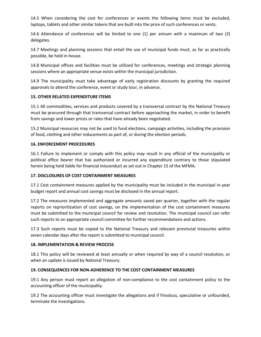14.5 When considering the cost for conferences or events the following items must be excluded, laptops, tablets and other similar tokens that are built into the price of such conferences or vents.

14.6 Attendance of conferences will be limited to one (1) per annum with a maximum of two (2) delegates.

14.7 Meetings and planning sessions that entail the use of municipal funds must, as far as practically possible, be held in-house.

14.8 Municipal offices and facilities must be utilized for conferences, meetings and strategic planning sessions where an appropriate venue exists within the municipal jurisdiction.

14.9 The municipality must take advantage of early registration discounts by granting the required approvals to attend the conference, event or study tour, in advance.

# **15. OTHER RELATED EXPENDITURE ITEMS**

15.1 All commodities, services and products covered by a transversal contract by the National Treasury must be procured through that transversal contract before approaching the market, in order to benefit from savings and lower prices or rates that have already been negotiated.

15.2 Municipal resources may not be used to fund elections, campaign activities, including the provision of food, clothing and other inducements as part of, or during the election periods.

# **16. ENFORCEMENT PROCEDURES**

16.1 Failure to implement or comply with this policy may result in any official of the municipality or political office bearer that has authorized or incurred any expenditure contrary to those stipulated herein being held liable for financial misconduct as set out in Chapter 15 of the MFMA.

# **17. DISCLOSURES OF COST CONTAINMENT MEASURES**

17.1 Cost containment measures applied by the municipality must be included in the municipal in-year budget report and annual cost savings must be disclosed in the annual report.

17.2 The measures implemented and aggregate amounts saved per quarter, together with the regular reports on reprioritization of cost savings, on the implementation of the cost containment measures must be submitted to the municipal council for review and resolution. The municipal council can refer such reports to an appropriate council committee for further recommendations and actions.

17.3 Such reports must be copied to the National Treasury and relevant provincial treasuries within seven calendar days after the report is submitted to municipal council.

# **18. IMPLEMENTATION & REVIEW PROCESS**

18.1 This policy will be reviewed at least annually or when required by way of a council resolution, or when an update is issued by National Treasury.

# **19. CONSEQUENCES FOR NON-ADHERENCE TO THE COST CONTAINMENT MEASURES**

19.1 Any person must report an allegation of non-compliance to the cost containment policy to the accounting officer of the municipality.

19.2 The accounting officer must investigate the allegations and if frivolous, speculative or unfounded, terminate the investigations.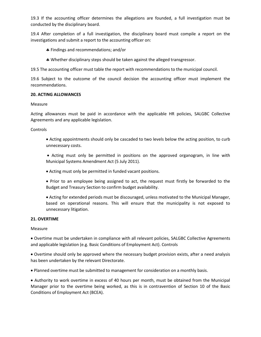19.3 If the accounting officer determines the allegations are founded, a full investigation must be conducted by the disciplinary board.

19.4 After completion of a full investigation, the disciplinary board must compile a report on the investigations and submit a report to the accounting officer on:

- Findings and recommendations; and/or
- Whether disciplinary steps should be taken against the alleged transgressor.

19.5 The accounting officer must table the report with recommendations to the municipal council.

19.6 Subject to the outcome of the council decision the accounting officer must implement the recommendations.

# **20. ACTING ALLOWANCES**

#### Measure

Acting allowances must be paid in accordance with the applicable HR policies, SALGBC Collective Agreements and any applicable legislation.

Controls

 Acting appointments should only be cascaded to two levels below the acting position, to curb unnecessary costs.

 Acting must only be permitted in positions on the approved organogram, in line with Municipal Systems Amendment Act (5 July 2011).

- Acting must only be permitted in funded vacant positions.
- Prior to an employee being assigned to act, the request must firstly be forwarded to the Budget and Treasury Section to confirm budget availability.

 Acting for extended periods must be discouraged, unless motivated to the Municipal Manager, based on operational reasons. This will ensure that the municipality is not exposed to unnecessary litigation.

# **21. OVERTIME**

Measure

 Overtime must be undertaken in compliance with all relevant policies, SALGBC Collective Agreements and applicable legislation (e.g. Basic Conditions of Employment Act). Controls

 Overtime should only be approved where the necessary budget provision exists, after a need analysis has been undertaken by the relevant Directorate.

Planned overtime must be submitted to management for consideration on a monthly basis.

 Authority to work overtime in excess of 40 hours per month, must be obtained from the Municipal Manager prior to the overtime being worked, as this is in contravention of Section 10 of the Basic Conditions of Employment Act (BCEA).